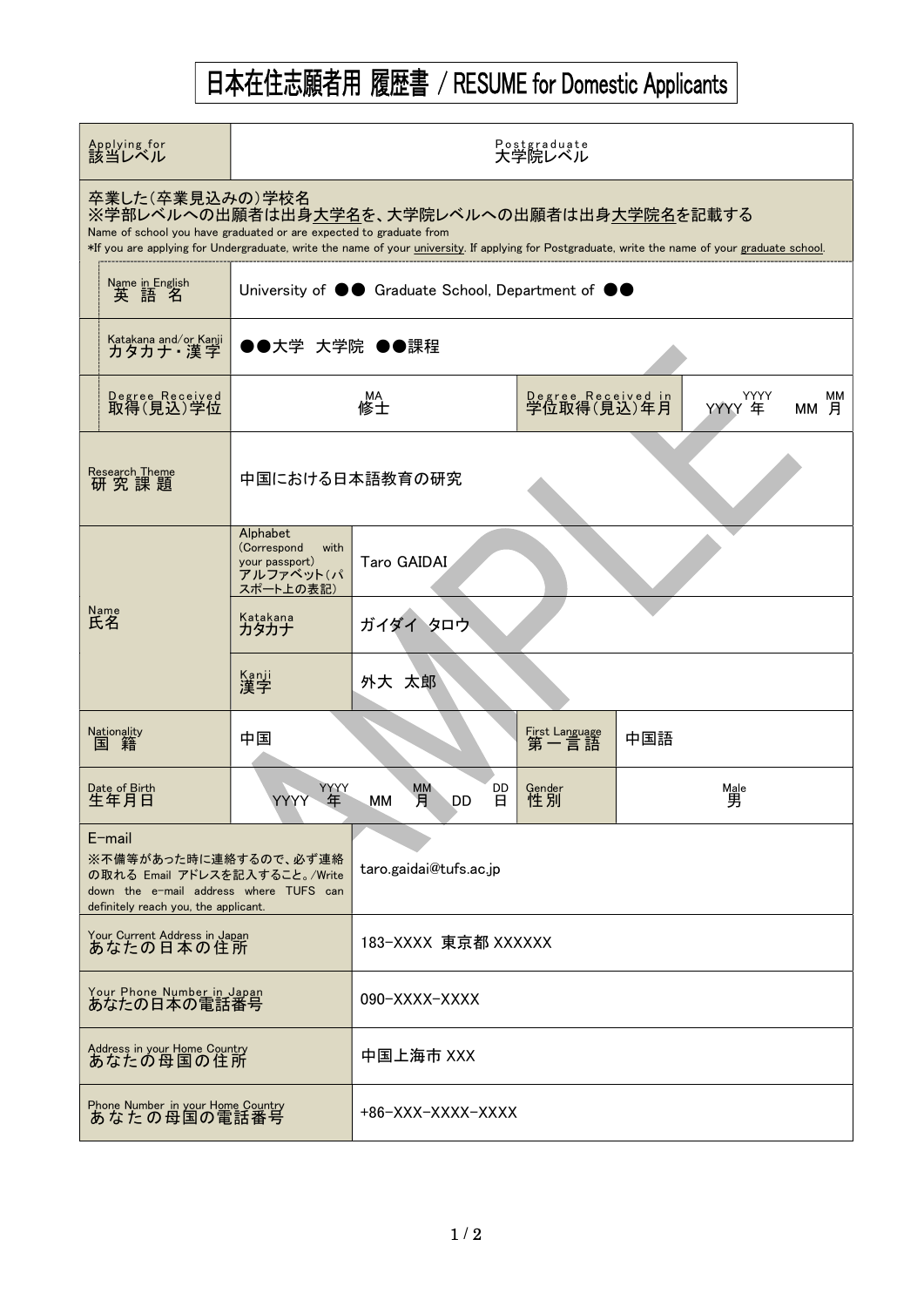## 日本在住志願者用 履歴書 / RESUME for Domestic Applicants

| Applying for<br>該当レベル                                                                                                                                                                                                                                                                   | Postgraduate<br>大学院レベル                                                         |                                       |                        |                |            |  |  |  |
|-----------------------------------------------------------------------------------------------------------------------------------------------------------------------------------------------------------------------------------------------------------------------------------------|--------------------------------------------------------------------------------|---------------------------------------|------------------------|----------------|------------|--|--|--|
| 卒業した(卒業見込みの)学校名<br>※学部レベルへの出願者は出身大学名を、大学院レベルへの出願者は出身大学院名を記載する<br>Name of school you have graduated or are expected to graduate from<br>*If you are applying for Undergraduate, write the name of your university. If applying for Postgraduate, write the name of your graduate school. |                                                                                |                                       |                        |                |            |  |  |  |
| Name in English<br>英語名                                                                                                                                                                                                                                                                  | University of $\bullet\bullet$ Graduate School, Department of $\bullet\bullet$ |                                       |                        |                |            |  |  |  |
| Katakana and/or Kanji                                                                                                                                                                                                                                                                   | ●●大学 大学院 ●●課程                                                                  |                                       |                        |                |            |  |  |  |
| Degree Received<br>取得(見込)学位                                                                                                                                                                                                                                                             |                                                                                | Degree Received in<br>学位取得(見込)年月      |                        | YYYY<br>YYYY 年 | MМ<br>MM 月 |  |  |  |
| <b>Research Theme</b><br>研究課題                                                                                                                                                                                                                                                           | 中国における日本語教育の研究                                                                 |                                       |                        |                |            |  |  |  |
|                                                                                                                                                                                                                                                                                         | Alphabet<br>(Correspond<br>with<br>your passport)<br>アルファベット(パ<br>スポート上の表記)    | Taro GAIDAI                           |                        |                |            |  |  |  |
| <sub>Name</sub><br>氏名                                                                                                                                                                                                                                                                   | Katakana<br>カタカナ                                                               | ガイダイタロウ                               |                        |                |            |  |  |  |
|                                                                                                                                                                                                                                                                                         | Kanji<br>漢字                                                                    | 外大 太郎                                 |                        |                |            |  |  |  |
| Nationality<br>国 籍                                                                                                                                                                                                                                                                      | 中国                                                                             |                                       | First Language<br>第一言語 | 中国語            |            |  |  |  |
| Date of Birth<br>生年月日                                                                                                                                                                                                                                                                   | YYYY<br>年<br>YYYY                                                              | DD<br><b>MM</b><br>月<br>DD<br>8<br>мм | Gender<br>性別           |                | Male<br>男  |  |  |  |
| $E$ -mail<br>※不備等があった時に連絡するので、必ず連絡<br>の取れる Email アドレスを記入すること。/Write<br>down the e-mail address where TUFS can<br>definitely reach you, the applicant.                                                                                                                                   |                                                                                | taro.gaidai@tufs.ac.jp                |                        |                |            |  |  |  |
| Your Current Address in Japan<br>あなたの日本の住所                                                                                                                                                                                                                                              |                                                                                | 183-XXXX 東京都 XXXXXX                   |                        |                |            |  |  |  |
| Your Phone Number in Japan<br>あなたの日本の電話番号                                                                                                                                                                                                                                               |                                                                                | 090-XXXX-XXXX                         |                        |                |            |  |  |  |
| Address in your Home Country<br>あなたの母国の住所                                                                                                                                                                                                                                               |                                                                                | 中国上海市 XXX                             |                        |                |            |  |  |  |
| Phone Number in your Home Country<br>あなたの母国の電話番号                                                                                                                                                                                                                                        |                                                                                | +86-XXX-XXXX-XXXX                     |                        |                |            |  |  |  |